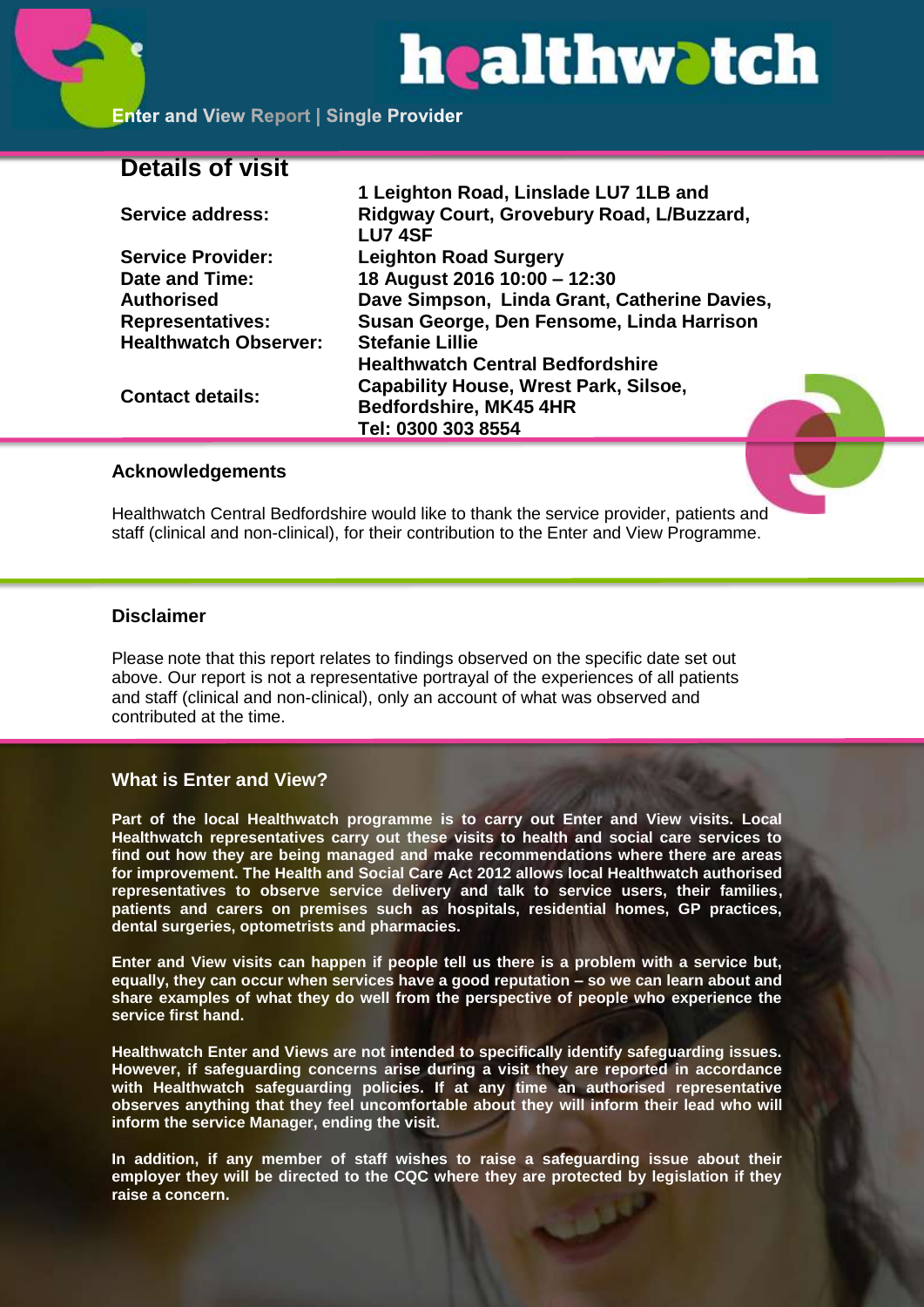# healthwatch

**1 Leighton Road, Linslade LU7 1LB and** 

**Enter and View Report | Single Provider** 

# **Details of visit**

|                              | T Leighton Road, Linslage LU7 TLB and        |
|------------------------------|----------------------------------------------|
| <b>Service address:</b>      | Ridgway Court, Grovebury Road, L/Buzzard,    |
|                              | <b>LU7 4SF</b>                               |
| <b>Service Provider:</b>     | <b>Leighton Road Surgery</b>                 |
| Date and Time:               | 18 August 2016 10:00 - 12:30                 |
| Authorised                   | Dave Simpson, Linda Grant, Catherine Davies, |
| <b>Representatives:</b>      | Susan George, Den Fensome, Linda Harrison    |
| <b>Healthwatch Observer:</b> | <b>Stefanie Lillie</b>                       |
| <b>Contact details:</b>      | <b>Healthwatch Central Bedfordshire</b>      |
|                              | <b>Capability House, Wrest Park, Silsoe,</b> |
|                              | <b>Bedfordshire, MK45 4HR</b>                |
|                              | Tel: 0300 303 8554                           |
|                              |                                              |

#### **Acknowledgements**

Healthwatch Central Bedfordshire would like to thank the service provider, patients and staff (clinical and non-clinical), for their contribution to the Enter and View Programme.

#### **Disclaimer**

Please note that this report relates to findings observed on the specific date set out above. Our report is not a representative portrayal of the experiences of all patients and staff (clinical and non-clinical), only an account of what was observed and contributed at the time.

# **What is Enter and View?**

**Part of the local Healthwatch programme is to carry out Enter and View visits. Local Healthwatch representatives carry out these visits to health and social care services to find out how they are being managed and make recommendations where there are areas for improvement. The Health and Social Care Act 2012 allows local Healthwatch authorised representatives to observe service delivery and talk to service users, their families, patients and carers on premises such as hospitals, residential homes, GP practices, dental surgeries, optometrists and pharmacies.** 

**Enter and View visits can happen if people tell us there is a problem with a service but, equally, they can occur when services have a good reputation – so we can learn about and share examples of what they do well from the perspective of people who experience the service first hand.**

**Healthwatch Enter and Views are not intended to specifically identify safeguarding issues. However, if safeguarding concerns arise during a visit they are reported in accordance with Healthwatch safeguarding policies. If at any time an authorised representative observes anything that they feel uncomfortable about they will inform their lead who will inform the service Manager, ending the visit.** 

**In addition, if any member of staff wishes to raise a safeguarding issue about their employer they will be directed to the CQC where they are protected by legislation if they raise a concern.**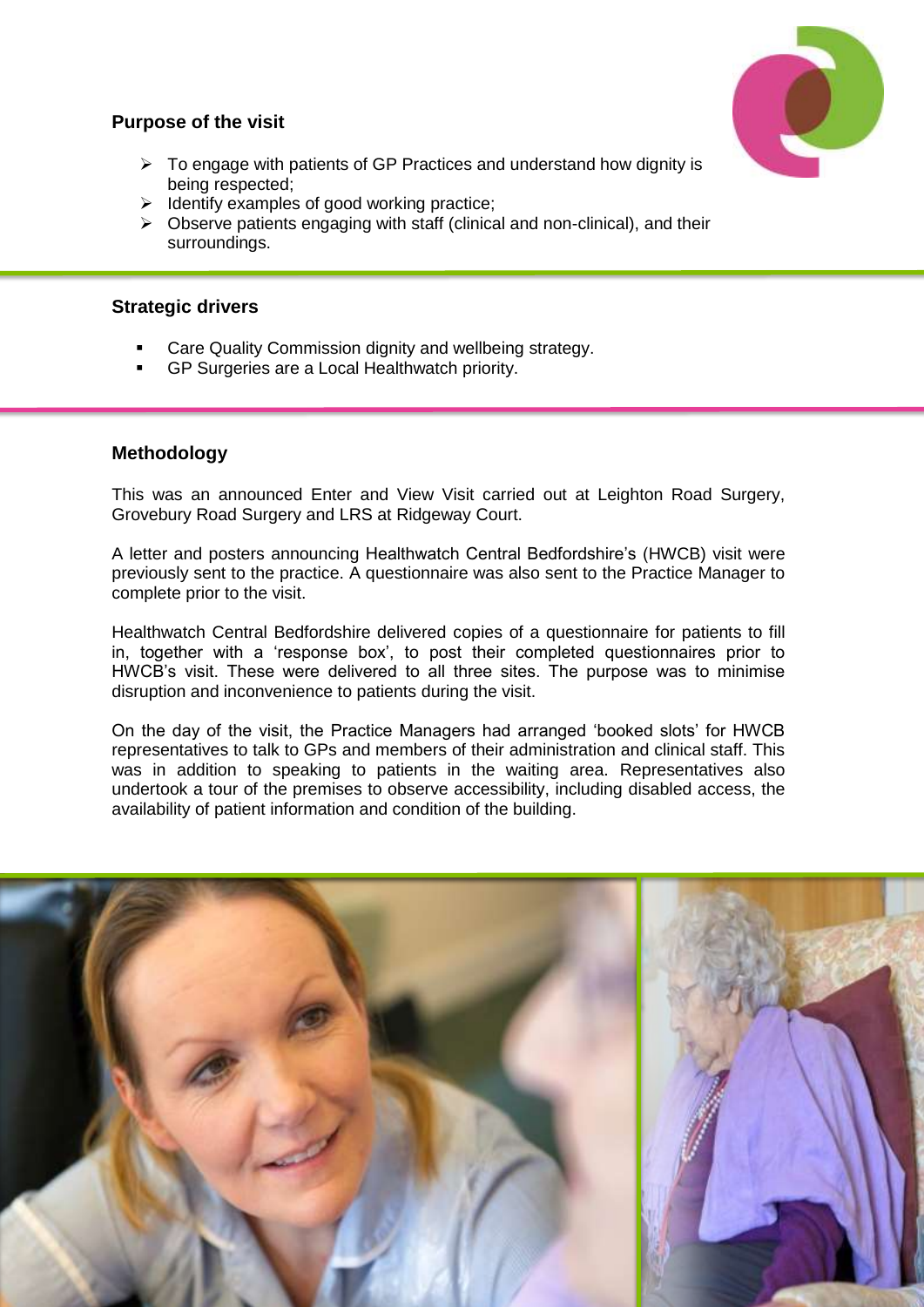

# **Purpose of the visit**

- $\triangleright$  To engage with patients of GP Practices and understand how dignity is being respected;
- $\triangleright$  Identify examples of good working practice;
- $\triangleright$  Observe patients engaging with staff (clinical and non-clinical), and their surroundings.

# **Strategic drivers**

- Care Quality Commission dignity and wellbeing strategy.
- GP Surgeries are a Local Healthwatch priority.

# **Methodology**

This was an announced Enter and View Visit carried out at Leighton Road Surgery, Grovebury Road Surgery and LRS at Ridgeway Court.

A letter and posters announcing Healthwatch Central Bedfordshire's (HWCB) visit were previously sent to the practice. A questionnaire was also sent to the Practice Manager to complete prior to the visit.

Healthwatch Central Bedfordshire delivered copies of a questionnaire for patients to fill in, together with a 'response box', to post their completed questionnaires prior to HWCB's visit. These were delivered to all three sites. The purpose was to minimise disruption and inconvenience to patients during the visit.

On the day of the visit, the Practice Managers had arranged 'booked slots' for HWCB representatives to talk to GPs and members of their administration and clinical staff. This was in addition to speaking to patients in the waiting area. Representatives also undertook a tour of the premises to observe accessibility, including disabled access, the availability of patient information and condition of the building.

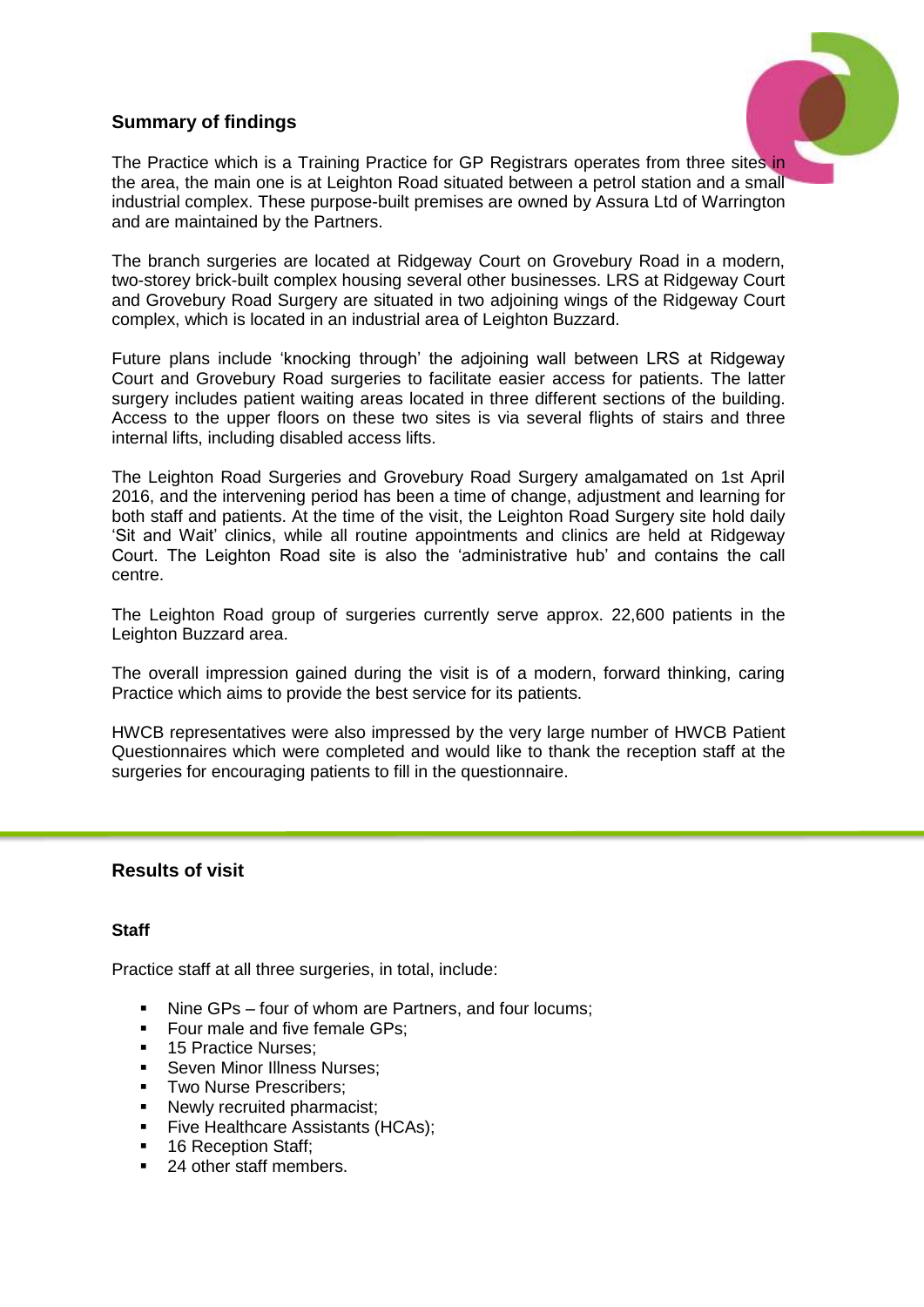# **Summary of findings**



The Practice which is a Training Practice for GP Registrars operates from three sites in the area, the main one is at Leighton Road situated between a petrol station and a small industrial complex. These purpose-built premises are owned by Assura Ltd of Warrington and are maintained by the Partners.

The branch surgeries are located at Ridgeway Court on Grovebury Road in a modern, two-storey brick-built complex housing several other businesses. LRS at Ridgeway Court and Grovebury Road Surgery are situated in two adjoining wings of the Ridgeway Court complex, which is located in an industrial area of Leighton Buzzard.

Future plans include 'knocking through' the adjoining wall between LRS at Ridgeway Court and Grovebury Road surgeries to facilitate easier access for patients. The latter surgery includes patient waiting areas located in three different sections of the building. Access to the upper floors on these two sites is via several flights of stairs and three internal lifts, including disabled access lifts.

The Leighton Road Surgeries and Grovebury Road Surgery amalgamated on 1st April 2016, and the intervening period has been a time of change, adjustment and learning for both staff and patients. At the time of the visit, the Leighton Road Surgery site hold daily 'Sit and Wait' clinics, while all routine appointments and clinics are held at Ridgeway Court. The Leighton Road site is also the 'administrative hub' and contains the call centre.

The Leighton Road group of surgeries currently serve approx. 22,600 patients in the Leighton Buzzard area.

The overall impression gained during the visit is of a modern, forward thinking, caring Practice which aims to provide the best service for its patients.

HWCB representatives were also impressed by the very large number of HWCB Patient Questionnaires which were completed and would like to thank the reception staff at the surgeries for encouraging patients to fill in the questionnaire.

# **Results of visit**

# **Staff**

Practice staff at all three surgeries, in total, include:

- Nine GPs four of whom are Partners, and four locums;
- Four male and five female GPs;
- 15 Practice Nurses:
- **Seven Minor Illness Nurses:**
- **Two Nurse Prescribers:**
- Newly recruited pharmacist;
- **Five Healthcare Assistants (HCAs);**
- 16 Reception Staff;
- 24 other staff members.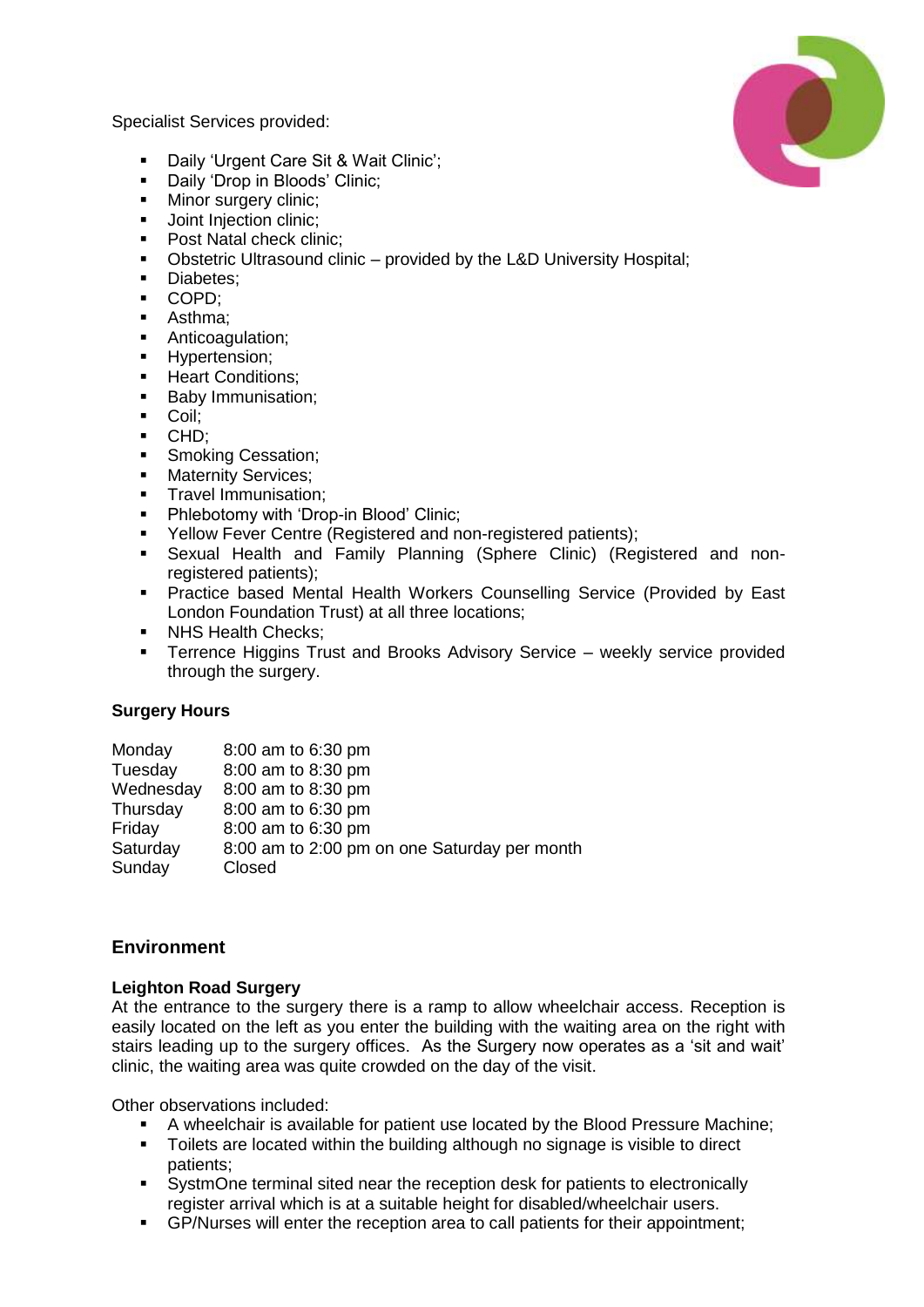Specialist Services provided:

- Daily 'Urgent Care Sit & Wait Clinic';
- Daily 'Drop in Bloods' Clinic;<br>• Minor surgery clinic:
- Minor surgery clinic;
- **Joint Injection clinic;**
- Post Natal check clinic:
- Obstetric Ultrasound clinic provided by the L&D University Hospital;
- **Diabetes:**
- COPD;
- **Asthma:**
- **Anticoagulation;**
- **Hypertension;**
- **Heart Conditions;**
- **Baby Immunisation;**
- **Coil**;
- CHD;
- **Smoking Cessation;**
- **Maternity Services:**
- **Travel Immunisation:**
- Phlebotomy with 'Drop-in Blood' Clinic;
- Yellow Fever Centre (Registered and non-registered patients);
- Sexual Health and Family Planning (Sphere Clinic) (Registered and nonregistered patients);
- Practice based Mental Health Workers Counselling Service (Provided by East London Foundation Trust) at all three locations;
- NHS Health Checks:
- **Terrence Higgins Trust and Brooks Advisory Service weekly service provided** through the surgery.

# **Surgery Hours**

| 8:00 am to 6:30 pm                           |
|----------------------------------------------|
| 8:00 am to 8:30 pm                           |
| 8:00 am to 8:30 pm                           |
| 8:00 am to 6:30 pm                           |
| 8:00 am to 6:30 pm                           |
| 8:00 am to 2:00 pm on one Saturday per month |
| Closed                                       |
|                                              |

# **Environment**

# **Leighton Road Surgery**

At the entrance to the surgery there is a ramp to allow wheelchair access. Reception is easily located on the left as you enter the building with the waiting area on the right with stairs leading up to the surgery offices. As the Surgery now operates as a 'sit and wait' clinic, the waiting area was quite crowded on the day of the visit.

Other observations included:

- A wheelchair is available for patient use located by the Blood Pressure Machine;
- **Toilets are located within the building although no signage is visible to direct** patients;
- SystmOne terminal sited near the reception desk for patients to electronically register arrival which is at a suitable height for disabled/wheelchair users.
- GP/Nurses will enter the reception area to call patients for their appointment;

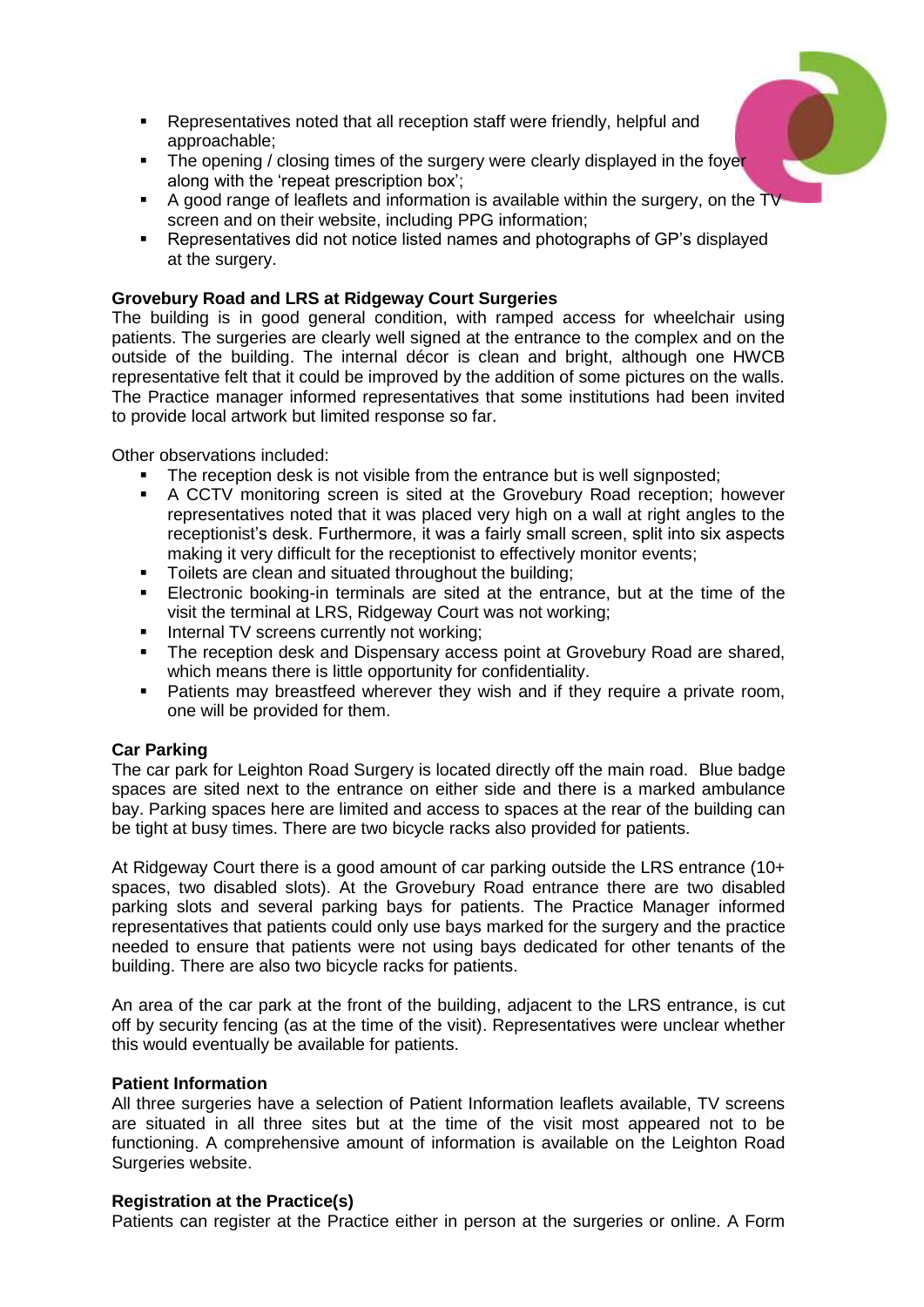- Representatives noted that all reception staff were friendly, helpful and approachable;
- The opening / closing times of the surgery were clearly displayed in the foyer along with the 'repeat prescription box';
- A good range of leaflets and information is available within the surgery, on the TV screen and on their website, including PPG information;
- Representatives did not notice listed names and photographs of GP's displayed at the surgery.

## **Grovebury Road and LRS at Ridgeway Court Surgeries**

The building is in good general condition, with ramped access for wheelchair using patients. The surgeries are clearly well signed at the entrance to the complex and on the outside of the building. The internal décor is clean and bright, although one HWCB representative felt that it could be improved by the addition of some pictures on the walls. The Practice manager informed representatives that some institutions had been invited to provide local artwork but limited response so far.

Other observations included:

- The reception desk is not visible from the entrance but is well signposted;
- A CCTV monitoring screen is sited at the Grovebury Road reception; however representatives noted that it was placed very high on a wall at right angles to the receptionist's desk. Furthermore, it was a fairly small screen, split into six aspects making it very difficult for the receptionist to effectively monitor events;
- Toilets are clean and situated throughout the building;
- Electronic booking-in terminals are sited at the entrance, but at the time of the visit the terminal at LRS, Ridgeway Court was not working;
- **Internal TV screens currently not working:**
- The reception desk and Dispensary access point at Grovebury Road are shared, which means there is little opportunity for confidentiality.
- **Patients may breastfeed wherever they wish and if they require a private room,** one will be provided for them.

#### **Car Parking**

The car park for Leighton Road Surgery is located directly off the main road. Blue badge spaces are sited next to the entrance on either side and there is a marked ambulance bay. Parking spaces here are limited and access to spaces at the rear of the building can be tight at busy times. There are two bicycle racks also provided for patients.

At Ridgeway Court there is a good amount of car parking outside the LRS entrance (10+ spaces, two disabled slots). At the Grovebury Road entrance there are two disabled parking slots and several parking bays for patients. The Practice Manager informed representatives that patients could only use bays marked for the surgery and the practice needed to ensure that patients were not using bays dedicated for other tenants of the building. There are also two bicycle racks for patients.

An area of the car park at the front of the building, adjacent to the LRS entrance, is cut off by security fencing (as at the time of the visit). Representatives were unclear whether this would eventually be available for patients.

#### **Patient Information**

All three surgeries have a selection of Patient Information leaflets available, TV screens are situated in all three sites but at the time of the visit most appeared not to be functioning. A comprehensive amount of information is available on the Leighton Road Surgeries website.

#### **Registration at the Practice(s)**

Patients can register at the Practice either in person at the surgeries or online. A Form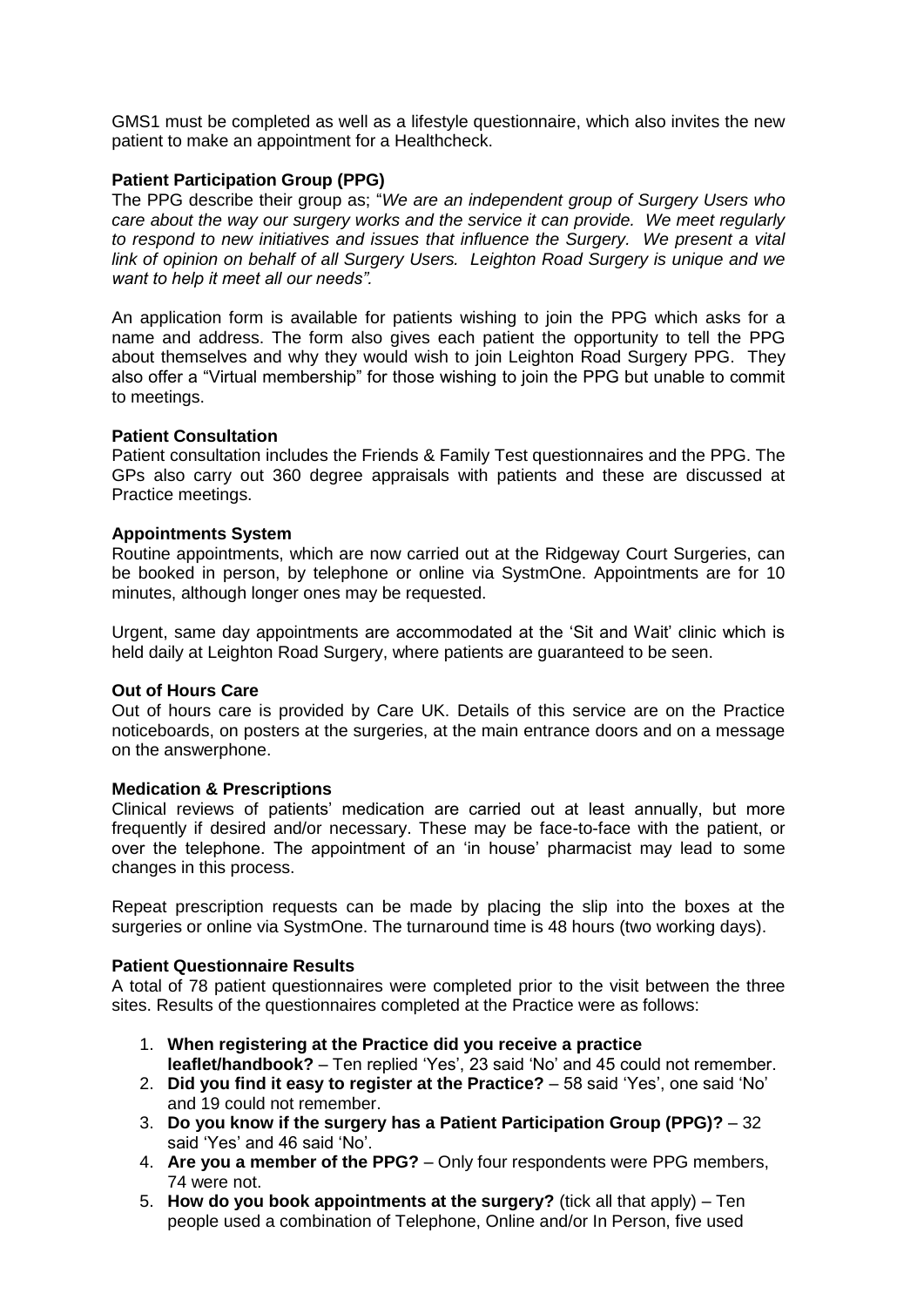GMS1 must be completed as well as a lifestyle questionnaire, which also invites the new patient to make an appointment for a Healthcheck.

#### **Patient Participation Group (PPG)**

The PPG describe their group as; "*We are an independent group of Surgery Users who care about the way our surgery works and the service it can provide. We meet regularly to respond to new initiatives and issues that influence the Surgery. We present a vital link of opinion on behalf of all Surgery Users. Leighton Road Surgery is unique and we want to help it meet all our needs".* 

An application form is available for patients wishing to join the PPG which asks for a name and address. The form also gives each patient the opportunity to tell the PPG about themselves and why they would wish to join Leighton Road Surgery PPG. They also offer a "Virtual membership" for those wishing to join the PPG but unable to commit to meetings.

#### **Patient Consultation**

Patient consultation includes the Friends & Family Test questionnaires and the PPG. The GPs also carry out 360 degree appraisals with patients and these are discussed at Practice meetings.

#### **Appointments System**

Routine appointments, which are now carried out at the Ridgeway Court Surgeries, can be booked in person, by telephone or online via SystmOne. Appointments are for 10 minutes, although longer ones may be requested.

Urgent, same day appointments are accommodated at the 'Sit and Wait' clinic which is held daily at Leighton Road Surgery, where patients are guaranteed to be seen.

#### **Out of Hours Care**

Out of hours care is provided by Care UK. Details of this service are on the Practice noticeboards, on posters at the surgeries, at the main entrance doors and on a message on the answerphone.

#### **Medication & Prescriptions**

Clinical reviews of patients' medication are carried out at least annually, but more frequently if desired and/or necessary. These may be face-to-face with the patient, or over the telephone. The appointment of an 'in house' pharmacist may lead to some changes in this process.

Repeat prescription requests can be made by placing the slip into the boxes at the surgeries or online via SystmOne. The turnaround time is 48 hours (two working days).

#### **Patient Questionnaire Results**

A total of 78 patient questionnaires were completed prior to the visit between the three sites. Results of the questionnaires completed at the Practice were as follows:

- 1. **When registering at the Practice did you receive a practice leaflet/handbook?** – Ten replied 'Yes', 23 said 'No' and 45 could not remember.
- 2. **Did you find it easy to register at the Practice?** 58 said 'Yes', one said 'No' and 19 could not remember.
- 3. **Do you know if the surgery has a Patient Participation Group (PPG)?** 32 said 'Yes' and 46 said 'No'.
- 4. **Are you a member of the PPG?** Only four respondents were PPG members, 74 were not.
- 5. **How do you book appointments at the surgery?** (tick all that apply) Ten people used a combination of Telephone, Online and/or In Person, five used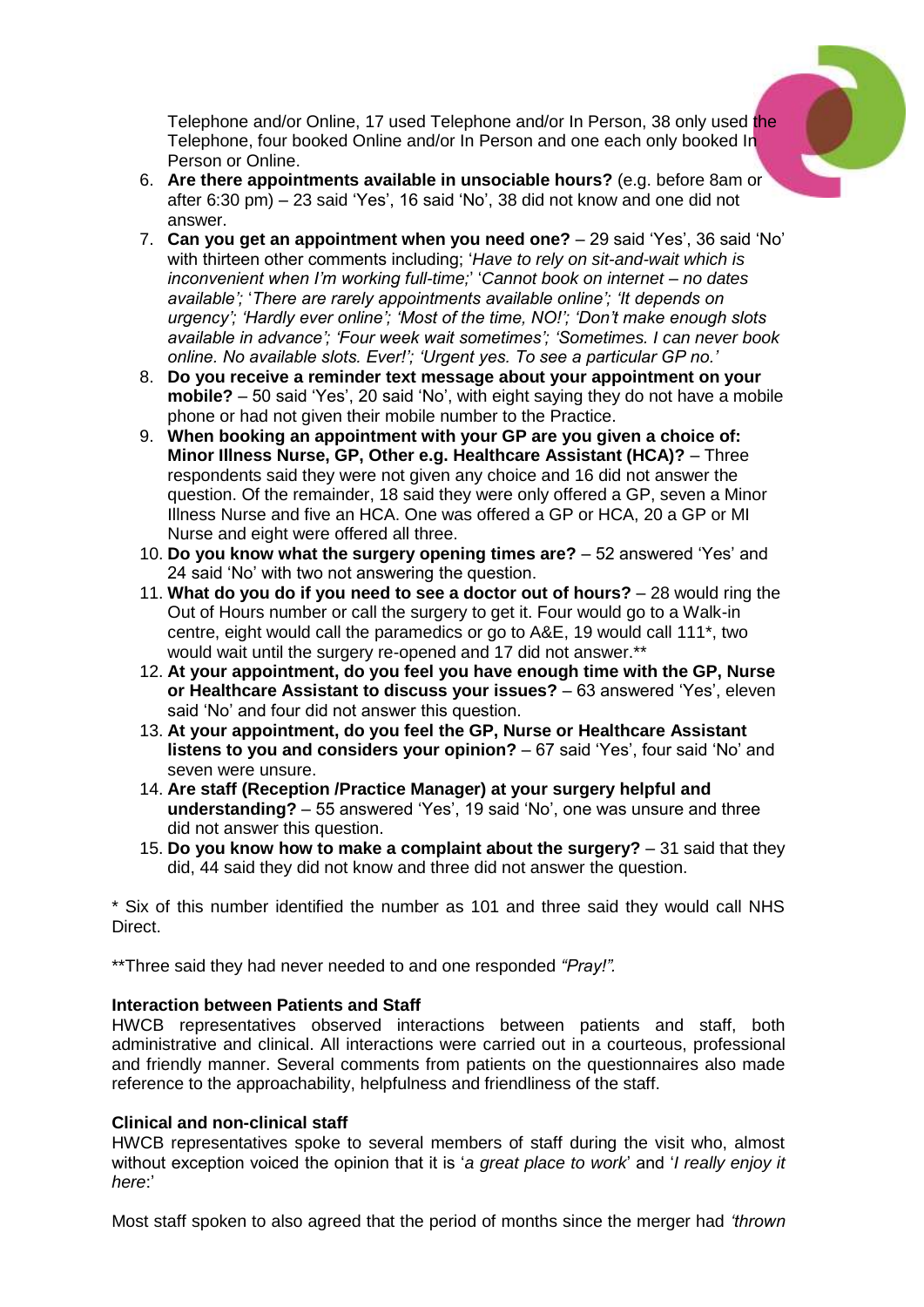

Telephone and/or Online, 17 used Telephone and/or In Person, 38 only used the Telephone, four booked Online and/or In Person and one each only booked In Person or Online.

- 6. **Are there appointments available in unsociable hours?** (e.g. before 8am or after 6:30 pm) – 23 said 'Yes', 16 said 'No', 38 did not know and one did not answer.
- 7. **Can you get an appointment when you need one?** 29 said 'Yes', 36 said 'No' with thirteen other comments including; '*Have to rely on sit-and-wait which is inconvenient when I'm working full-time;*' '*Cannot book on internet – no dates available';* '*There are rarely appointments available online'; 'It depends on urgency'; 'Hardly ever online'; 'Most of the time, NO!'; 'Don't make enough slots available in advance'; 'Four week wait sometimes'; 'Sometimes. I can never book online. No available slots. Ever!'; 'Urgent yes. To see a particular GP no.'*
- 8. **Do you receive a reminder text message about your appointment on your mobile?** – 50 said 'Yes', 20 said 'No', with eight saying they do not have a mobile phone or had not given their mobile number to the Practice.
- 9. **When booking an appointment with your GP are you given a choice of: Minor Illness Nurse, GP, Other e.g. Healthcare Assistant (HCA)?** – Three respondents said they were not given any choice and 16 did not answer the question. Of the remainder, 18 said they were only offered a GP, seven a Minor Illness Nurse and five an HCA. One was offered a GP or HCA, 20 a GP or MI Nurse and eight were offered all three.
- 10. **Do you know what the surgery opening times are?** 52 answered 'Yes' and 24 said 'No' with two not answering the question.
- 11. **What do you do if you need to see a doctor out of hours?** 28 would ring the Out of Hours number or call the surgery to get it. Four would go to a Walk-in centre, eight would call the paramedics or go to A&E, 19 would call 111\*, two would wait until the surgery re-opened and 17 did not answer.\*\*
- 12. **At your appointment, do you feel you have enough time with the GP, Nurse or Healthcare Assistant to discuss your issues?** – 63 answered 'Yes', eleven said 'No' and four did not answer this question.
- 13. **At your appointment, do you feel the GP, Nurse or Healthcare Assistant listens to you and considers your opinion?** – 67 said 'Yes', four said 'No' and seven were unsure.
- 14. **Are staff (Reception /Practice Manager) at your surgery helpful and understanding?** – 55 answered 'Yes', 19 said 'No', one was unsure and three did not answer this question.
- 15. **Do you know how to make a complaint about the surgery?** 31 said that they did, 44 said they did not know and three did not answer the question.

\* Six of this number identified the number as 101 and three said they would call NHS Direct.

\*\*Three said they had never needed to and one responded *"Pray!".*

# **Interaction between Patients and Staff**

HWCB representatives observed interactions between patients and staff, both administrative and clinical. All interactions were carried out in a courteous, professional and friendly manner. Several comments from patients on the questionnaires also made reference to the approachability, helpfulness and friendliness of the staff.

# **Clinical and non-clinical staff**

HWCB representatives spoke to several members of staff during the visit who, almost without exception voiced the opinion that it is '*a great place to work*' and '*I really enjoy it here*:'

Most staff spoken to also agreed that the period of months since the merger had *'thrown*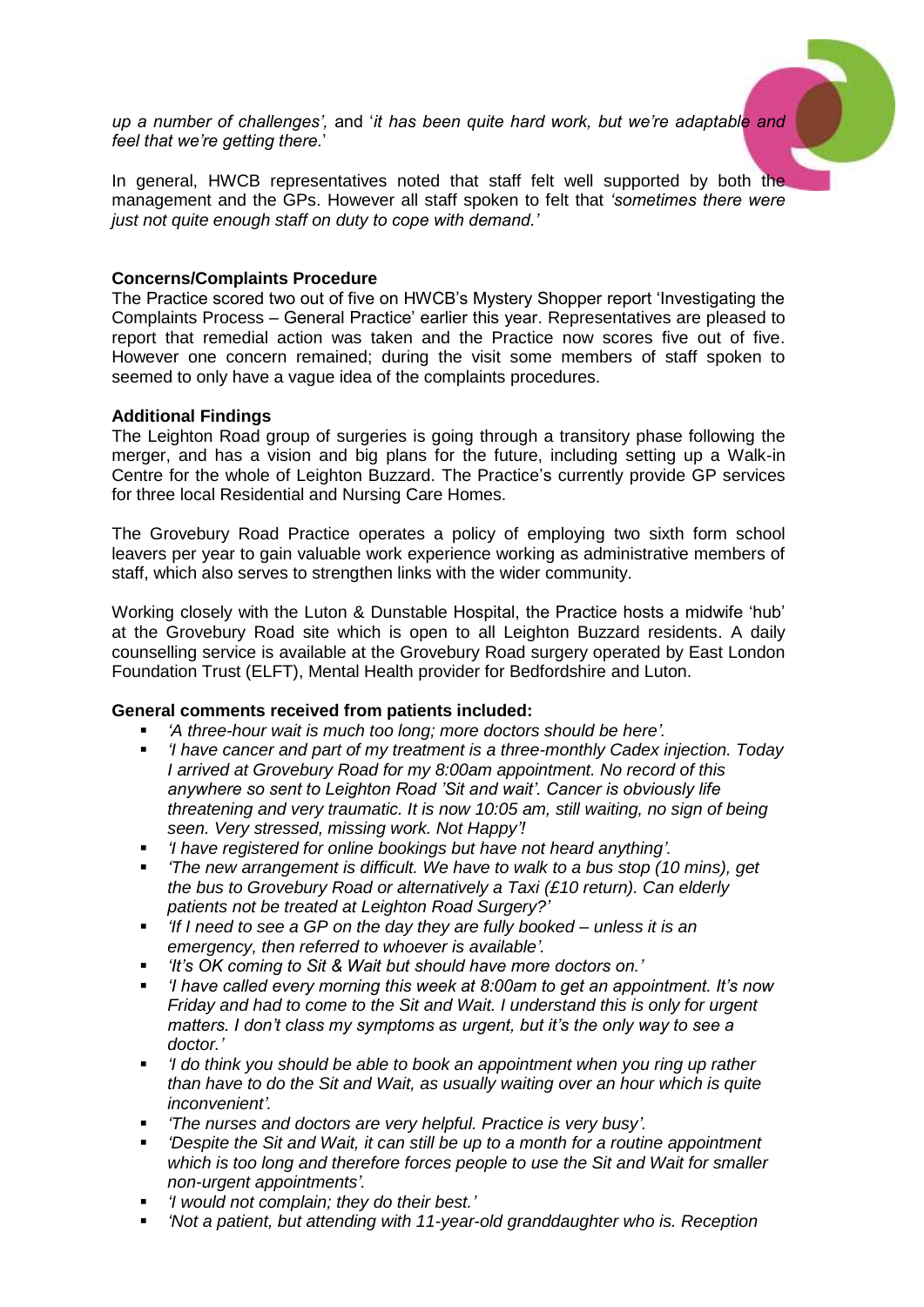*up a number of challenges',* and '*it has been quite hard work, but we're adaptable and feel that we're getting there.*'

In general, HWCB representatives noted that staff felt well supported by both the management and the GPs. However all staff spoken to felt that *'sometimes there were just not quite enough staff on duty to cope with demand.'*

## **Concerns/Complaints Procedure**

The Practice scored two out of five on HWCB's Mystery Shopper report 'Investigating the Complaints Process – General Practice' earlier this year. Representatives are pleased to report that remedial action was taken and the Practice now scores five out of five. However one concern remained; during the visit some members of staff spoken to seemed to only have a vague idea of the complaints procedures.

#### **Additional Findings**

The Leighton Road group of surgeries is going through a transitory phase following the merger, and has a vision and big plans for the future, including setting up a Walk-in Centre for the whole of Leighton Buzzard. The Practice's currently provide GP services for three local Residential and Nursing Care Homes.

The Grovebury Road Practice operates a policy of employing two sixth form school leavers per year to gain valuable work experience working as administrative members of staff, which also serves to strengthen links with the wider community.

Working closely with the Luton & Dunstable Hospital, the Practice hosts a midwife 'hub' at the Grovebury Road site which is open to all Leighton Buzzard residents. A daily counselling service is available at the Grovebury Road surgery operated by East London Foundation Trust (ELFT), Mental Health provider for Bedfordshire and Luton.

# **General comments received from patients included:**

- *'A three-hour wait is much too long; more doctors should be here'.*
- *'I have cancer and part of my treatment is a three-monthly Cadex injection. Today I arrived at Grovebury Road for my 8:00am appointment. No record of this anywhere so sent to Leighton Road 'Sit and wait'. Cancer is obviously life threatening and very traumatic. It is now 10:05 am, still waiting, no sign of being seen. Very stressed, missing work. Not Happy'!*
- *'I have registered for online bookings but have not heard anything'.*
- *'The new arrangement is difficult. We have to walk to a bus stop (10 mins), get the bus to Grovebury Road or alternatively a Taxi (£10 return). Can elderly patients not be treated at Leighton Road Surgery?'*
- *'If I need to see a GP on the day they are fully booked – unless it is an emergency, then referred to whoever is available'.*
- *'It's OK coming to Sit & Wait but should have more doctors on.'*
- *'I have called every morning this week at 8:00am to get an appointment. It's now Friday and had to come to the Sit and Wait. I understand this is only for urgent matters. I don't class my symptoms as urgent, but it's the only way to see a doctor.'*
- *'I do think you should be able to book an appointment when you ring up rather than have to do the Sit and Wait, as usually waiting over an hour which is quite inconvenient'.*
- *'The nurses and doctors are very helpful. Practice is very busy'.*
- *'Despite the Sit and Wait, it can still be up to a month for a routine appointment which is too long and therefore forces people to use the Sit and Wait for smaller non-urgent appointments'.*
- *'I would not complain; they do their best.'*
- *'Not a patient, but attending with 11-year-old granddaughter who is. Reception*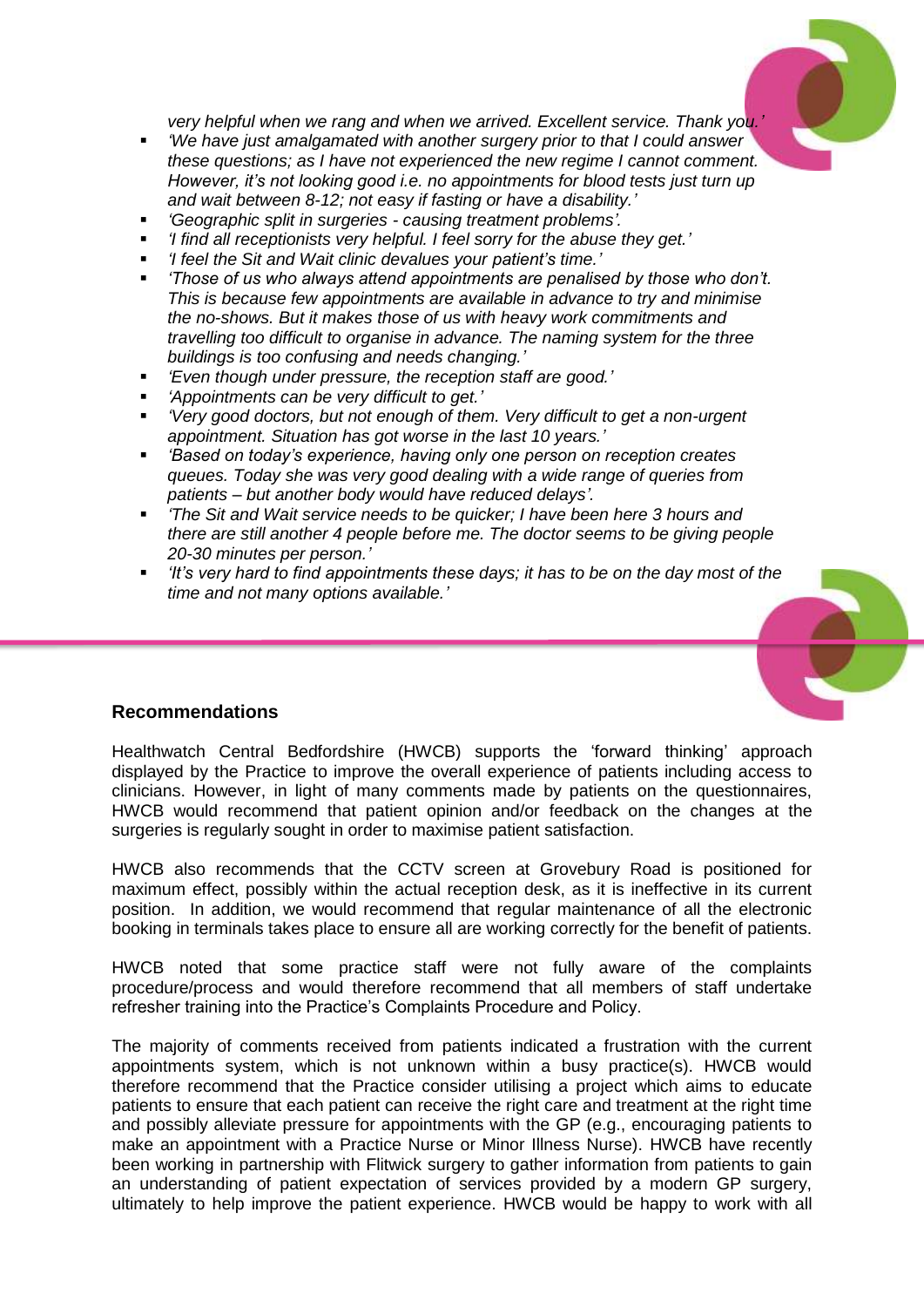

*very helpful when we rang and when we arrived. Excellent service. Thank you.'*

- *'We have just amalgamated with another surgery prior to that I could answer these questions; as I have not experienced the new regime I cannot comment. However, it's not looking good i.e. no appointments for blood tests just turn up and wait between 8-12; not easy if fasting or have a disability.'*
- *'Geographic split in surgeries - causing treatment problems'.*
- *'I find all receptionists very helpful. I feel sorry for the abuse they get.'*
- *'I feel the Sit and Wait clinic devalues your patient's time.'*
- *'Those of us who always attend appointments are penalised by those who don't. This is because few appointments are available in advance to try and minimise the no-shows. But it makes those of us with heavy work commitments and travelling too difficult to organise in advance. The naming system for the three buildings is too confusing and needs changing.'*
- *'Even though under pressure, the reception staff are good.'*
- *'Appointments can be very difficult to get.'*
- *'Very good doctors, but not enough of them. Very difficult to get a non-urgent appointment. Situation has got worse in the last 10 years.'*
- *'Based on today's experience, having only one person on reception creates queues. Today she was very good dealing with a wide range of queries from patients – but another body would have reduced delays'.*
- *'The Sit and Wait service needs to be quicker; I have been here 3 hours and there are still another 4 people before me. The doctor seems to be giving people 20-30 minutes per person.'*
- *'It's very hard to find appointments these days; it has to be on the day most of the time and not many options available.'*



# **Recommendations**

Healthwatch Central Bedfordshire (HWCB) supports the 'forward thinking' approach displayed by the Practice to improve the overall experience of patients including access to clinicians. However, in light of many comments made by patients on the questionnaires, HWCB would recommend that patient opinion and/or feedback on the changes at the surgeries is regularly sought in order to maximise patient satisfaction.

HWCB also recommends that the CCTV screen at Grovebury Road is positioned for maximum effect, possibly within the actual reception desk, as it is ineffective in its current position. In addition, we would recommend that regular maintenance of all the electronic booking in terminals takes place to ensure all are working correctly for the benefit of patients.

HWCB noted that some practice staff were not fully aware of the complaints procedure/process and would therefore recommend that all members of staff undertake refresher training into the Practice's Complaints Procedure and Policy.

The majority of comments received from patients indicated a frustration with the current appointments system, which is not unknown within a busy practice(s). HWCB would therefore recommend that the Practice consider utilising a project which aims to educate patients to ensure that each patient can receive the right care and treatment at the right time and possibly alleviate pressure for appointments with the GP (e.g., encouraging patients to make an appointment with a Practice Nurse or Minor Illness Nurse). HWCB have recently been working in partnership with Flitwick surgery to gather information from patients to gain an understanding of patient expectation of services provided by a modern GP surgery, ultimately to help improve the patient experience. HWCB would be happy to work with all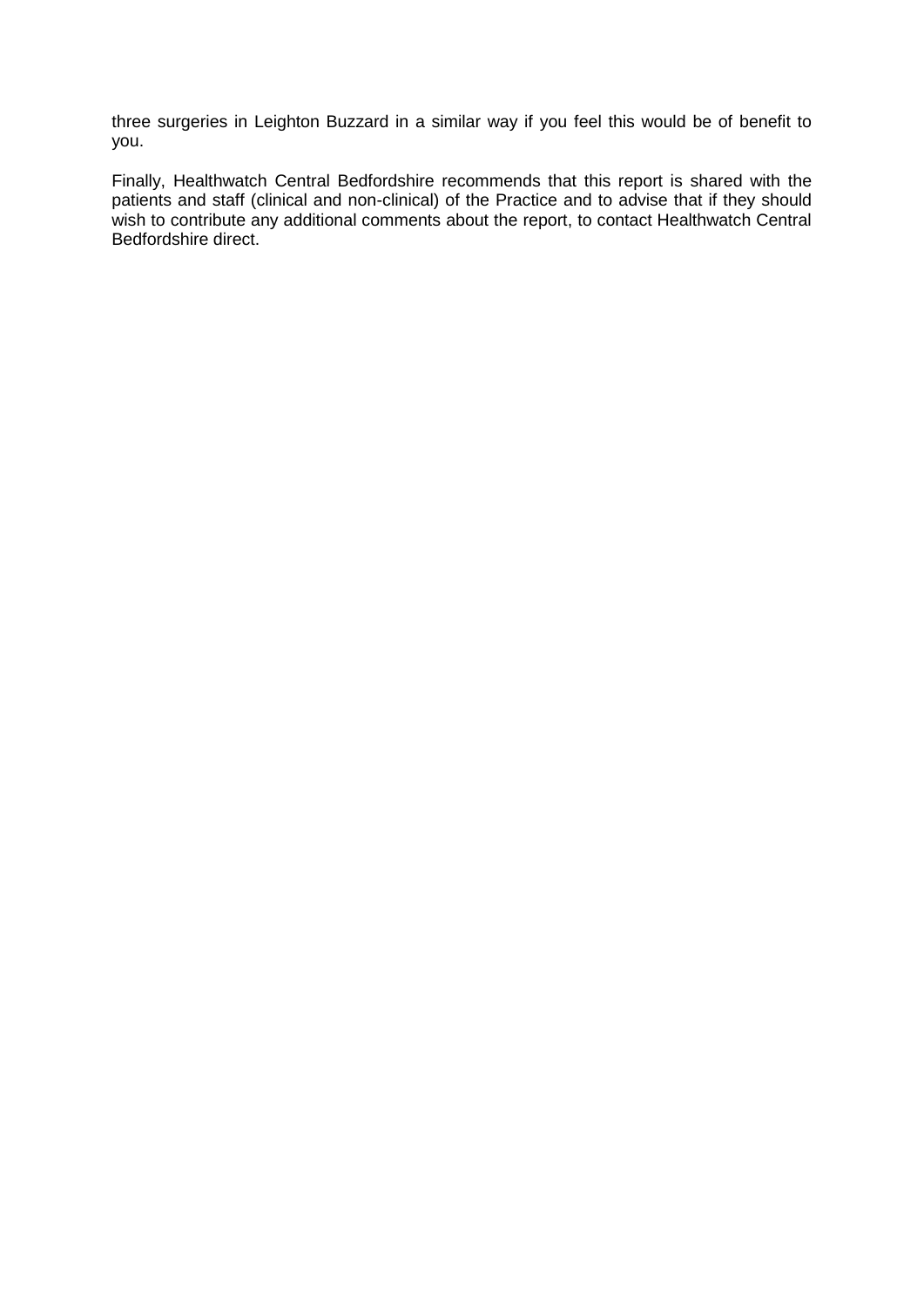three surgeries in Leighton Buzzard in a similar way if you feel this would be of benefit to you.

Finally, Healthwatch Central Bedfordshire recommends that this report is shared with the patients and staff (clinical and non-clinical) of the Practice and to advise that if they should wish to contribute any additional comments about the report, to contact Healthwatch Central Bedfordshire direct.